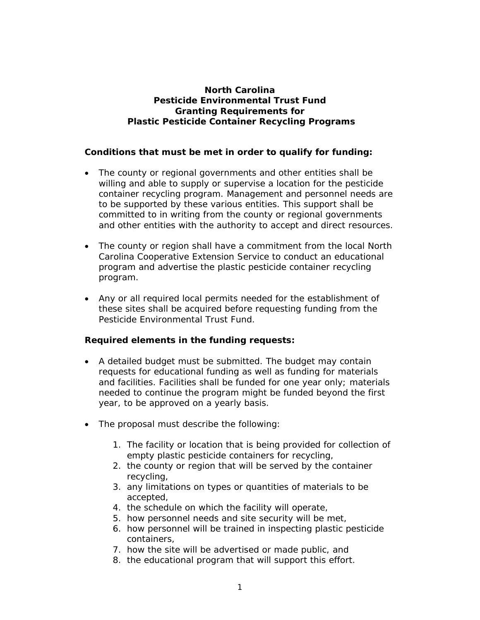## **North Carolina Pesticide Environmental Trust Fund Granting Requirements for Plastic Pesticide Container Recycling Programs**

## **Conditions that must be met in order to qualify for funding:**

- The county or regional governments and other entities shall be willing and able to supply or supervise a location for the pesticide container recycling program. Management and personnel needs are to be supported by these various entities. This support shall be committed to in writing from the county or regional governments and other entities with the authority to accept and direct resources.
- The county or region shall have a commitment from the local North Carolina Cooperative Extension Service to conduct an educational program and advertise the plastic pesticide container recycling program.
- Any or all required local permits needed for the establishment of these sites shall be acquired before requesting funding from the Pesticide Environmental Trust Fund.

## **Required elements in the funding requests:**

- A detailed budget must be submitted. The budget may contain requests for educational funding as well as funding for materials and facilities. Facilities shall be funded for one year only; materials needed to continue the program might be funded beyond the first year, to be approved on a yearly basis.
- The proposal must describe the following:
	- 1. The facility or location that is being provided for collection of empty plastic pesticide containers for recycling,
	- 2. the county or region that will be served by the container recycling,
	- 3. any limitations on types or quantities of materials to be accepted,
	- 4. the schedule on which the facility will operate,
	- 5. how personnel needs and site security will be met,
	- 6. how personnel will be trained in inspecting plastic pesticide containers,
	- 7. how the site will be advertised or made public, and
	- 8. the educational program that will support this effort.